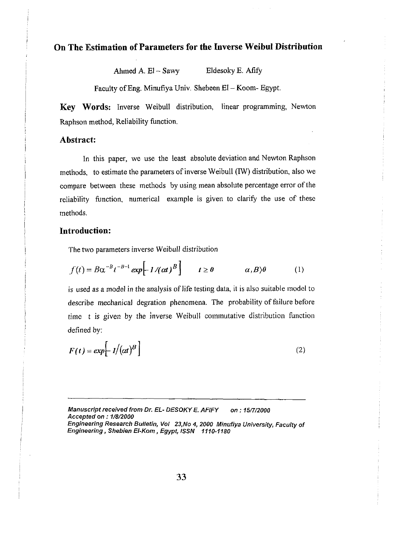## **On The Estimation of Parameters for the Inverse Weibul Distribution**

Ahmed A. El - Sawy Eldesoky E. Afify

Faculty of Eng. Minufiya Univ. Shebeen El - Koom- Egypt.

**Key Words:** Inverse Weibull distribution, linear programming, Newton Raphson method, Reliability function.

#### **Abstract:**

In this paper, we use the least absolute deviation and Newton Raphson methods, to estimate the parameters of inverse Weibull (IW) distribution, also we compare between these methods by using mean absolute percentage error of the reliability hnction. numerical example is given to clarify the use of these methods.

### **Introduction:**

The two parameters inverse Weibull distribution

$$
f(t) = B\alpha^{-B}t^{-B-1} \exp\left[-1/(at)^B\right] \qquad t \ge 0 \qquad \alpha, B\backslash\theta \qquad (1)
$$

is used as a model in the analysis of life testing data, it is also suitable model to describe mechanical degration phenomena. The probability of failure before time t is given by the inverse Weibull commutative distribution function defined by:

$$
F(t) = exp\left[-l/(\alpha t)^B\right]
$$
 (2)

**Manuscript received from Dr. EL- DESOKY E. AFlFY on** : **15f7/2000 Accepted on** : **7/8/2000 Engineering Research Bulletin, Vol 23,No 4, 2000 Minufiya University, Faculty of Engineering, Shebien El-Kom** , **Egypt,** *ISSN* **1110-1180**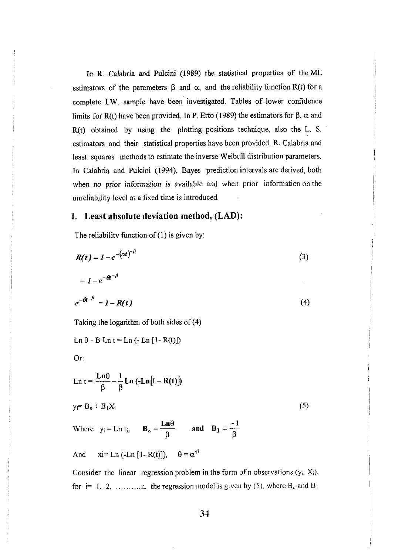In R. Calabria and Pulcini (1989) the statistical properties of the ML estimators of the parameters  $\beta$  and  $\alpha$ , and the reliability function R(t) for a complete 1.W. sample have been investigated. Tables of lower confidence limits for R(t) have been provided. In P. Erto (1989) the estimators for  $\beta$ ,  $\alpha$  and R(t) obtained by using the plotting positions technique. also the L. S. estimators and their statistical properties have been provided. R. Calabria and least squares methods to estimate the inverse Weibull distribution parameters. In Calabria and Pulcini (1994), Bayes prediction intervals are derived, both when no prior information is available and when prior information on the unreliability level at a fixed time is introduced.

#### **1. Least absolute deviation method, (LAD):**

The reliability function of  $(1)$  is given by:

$$
R(t) = I - e^{-(\alpha t)^{-\beta}}
$$
(3)  
\n
$$
= I - e^{-\alpha t^{-\beta}}
$$
  
\n
$$
e^{-\alpha t^{-\beta}} = I - R(t)
$$
(4)  
\nTaking the logarithm of both sides of (4)  
\nLn  $\theta$  - B Ln t = Ln (-Ln [1 - R(t)])  
\nOr:  
\nLn  $t = \frac{Ln\theta}{\beta} - \frac{1}{\beta} Ln (-Ln[1 - R(t)])$   
\n $y_i = B_0 + B_1X_i$  (5)  
\nWhere  $y_i = Ln t_i$ ,  $B_0 = \frac{Ln\theta}{\beta}$  and  $B_1 = \frac{-1}{\beta}$   
\nAnd  $x_i = Ln (-Ln [1 - R(t)])$ ,  $\theta = \alpha^{-\beta}$   
\nConsider the linear regression problem in the form of n observations  $(y_i, X_i)$ ,

for  $i=1, 2, \ldots, n$ , the regression model is given by (5), where  $B_0$  and  $B_1$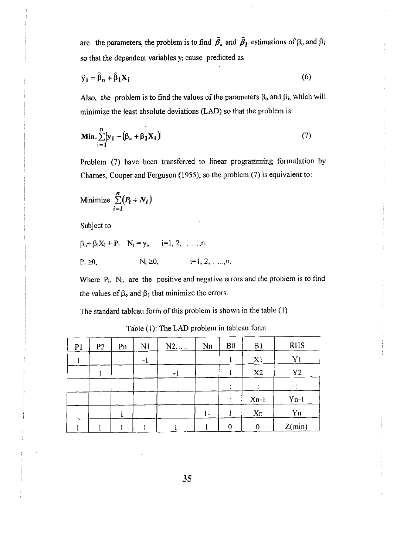are the parameters, the problem is to find  $\hat{\beta}_0$  and  $\hat{\beta}_1$  estimations of  $\beta_0$  and  $\beta_1$ so that the dependent variables y<sub>i</sub> cause predicted as

$$
\hat{\mathbf{y}}_{i} = \hat{\beta}_{0} + \hat{\beta}_{1} \mathbf{X}_{i} \tag{6}
$$

Also, the problem is to find the values of the parameters  $\beta_0$  and  $\beta_i$ , which will minimize the least absolute deviations (LAD) so that the problem is

$$
\mathbf{Min.} \sum_{i=1}^{n} \left| \mathbf{y}_i - \left( \boldsymbol{\beta}_o + \boldsymbol{\beta}_1 \mathbf{X}_i \right) \right| \tag{7}
$$

Problem **(7)** have been transferred to linear programming formulation by Charnes, Cooper and Ferguson (1955), so the problem (7) is equivalent to:

$$
\text{Minimize } \sum_{i=1}^{n} (P_i + N_i)
$$

Subject to

 $\beta_0^+ \beta_i X_i^+ + P_i^+ - N_i^+ = y_i, \quad i=1, 2, \ldots, n.$  $P_i \ge 0$ ,  $N_i \ge 0$ ,  $i=1, 2, ..., n$ .

Where P<sub>i</sub>, N<sub>i</sub>, are the positive and negative errors and the problem is to find the values of  $\beta_0$  and  $\beta_1$  that minimize the errors.

The standard tableau form of this problem is shown in the table (1)

| P <sub>1</sub> | P <sub>2</sub> | Pn | N1 | $N2$ | Nn  | B <sub>0</sub> | B1             | <b>RHS</b>     |
|----------------|----------------|----|----|------|-----|----------------|----------------|----------------|
|                |                |    | ۰ı |      |     |                | X <sub>1</sub> | Yl             |
|                |                |    |    | ۰.   |     |                | X2             | Y <sub>2</sub> |
|                |                |    |    |      |     |                |                |                |
|                |                |    |    |      |     |                | $Xn-1$         | $Y_{n-1}$      |
|                |                |    |    |      | l – |                | Xn             | Yn             |
|                |                |    |    |      |     |                | 0              | Z(min)         |

Table (1): The LAD problem in tableau form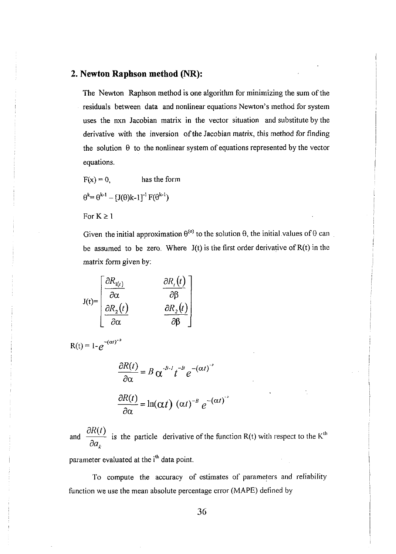## **2. Newton Raphson method (NR):**

The Newton Raphson method is one algorithm for minimizing the sum of the residuals between data and nonlinear equations Newton's method for system uses the nxn Jacobian matrix in the vector situation and substitute by the derivative with the inversion of the Jacobian matrix, this method for finding the solution  $\theta$  to the nonlinear system of equations represented by the vector equations.

$$
F(x) = 0, \qquad \qquad \text{has the form}
$$

$$
\theta^{k} = \theta^{k-1} - [J(\theta)k-1]^{-1} F(\theta^{k-1})
$$

For  $K \geq 1$ 

Given the initial approximation  $\theta^{(0)}$  to the solution  $\theta$ , the initial values of  $\theta$  can be assumed to be zero. Where  $J(t)$  is the first order derivative of  $R(t)$  in the matrix form given by:

$$
J(t) = \begin{bmatrix} \frac{\partial R_{1(t)}}{\partial \alpha} & \frac{\partial R_{i}(t)}{\partial \beta} \\ \frac{\partial R_{2}(t)}{\partial \alpha} & \frac{\partial R_{2}(t)}{\partial \beta} \end{bmatrix}
$$

 $R(t) = 1 - e^{-(\alpha t)^{-B}}$ 

$$
\frac{\partial R(t)}{\partial \alpha} = B \alpha^{-B-1} t^{-B} e^{-(\alpha t)^{-B}}
$$

$$
\frac{\partial R(t)}{\partial \alpha} = \ln(\alpha t) (\alpha t)^{-B} e^{-(\alpha t)^{-B}}
$$

 $\frac{\partial R(t)}{\partial \alpha} = \ln(\alpha t) (\alpha t)^{-B} e^{-(\alpha t)^{-B}}$ <br>and  $\frac{\partial R(t)}{\partial a_k}$  is the particle derivative of the function R(t) with respect to the K<sup>th</sup>

parameter evaluated at the i<sup>th</sup> data point.

To compute the accuracy of estimates of parameters and reliability function we use the mean absolute percentage error (MAPE) defined by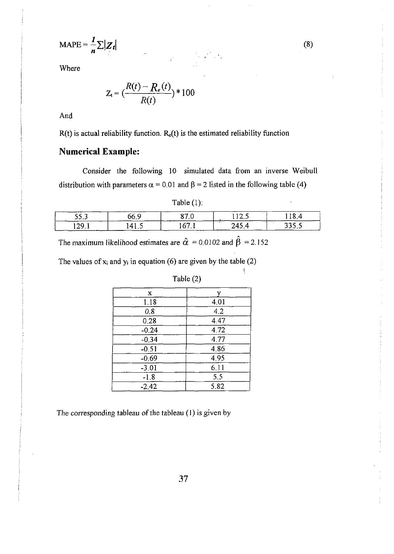$$
\text{MAPE} = \frac{1}{n} \sum |Z_t|
$$

Where

$$
Z_{t} = \left(\frac{R(t) - R_{e}(t)}{R(t)}\right) * 100
$$

 $\label{eq:3.1} \frac{1}{\sqrt{2}}\int_{-\infty}^{\infty} \frac{1}{\sqrt{2}}\left(\frac{1}{\sqrt{2}}\right)^2\frac{1}{\sqrt{2}}\left(\frac{1}{\sqrt{2}}\right)^2\frac{1}{\sqrt{2}}\left(\frac{1}{\sqrt{2}}\right)^2.$ 

And

 $R(t)$  is actual reliability function.  $R_e(t)$  is the estimated reliability function

# **Numerical Example:**

Consider the following 10 simulated data from an inverse Weibull distribution with parameters  $\alpha = 0.01$  and  $\beta = 2$  listed in the following table (4)

 $\frac{1}{\kappa} \frac{d^2}{dx^2} = \frac{1}{\kappa} \frac{d^2}{dx^2}$ 

| Table $(1)$ : |  |
|---------------|--|
|---------------|--|

| 55,3 |     |            | . | . . |
|------|-----|------------|---|-----|
| ാവ   | LL. | <i>r</i> – |   |     |

The maximum likelihood estimates are  $\hat{\alpha} = 0.0102$  and  $\hat{\beta} = 2.152$ 

The values of  $x_i$  and  $y_i$  in equation (6) are given by the table (2)

| X       |      |
|---------|------|
| 1.18    | 4.01 |
| 0.8     | 4.2  |
| 0.28    | 4.47 |
| $-0.24$ | 4.72 |
| $-0.34$ | 4.77 |
| $-0.51$ | 4.86 |
| $-0.69$ | 4.95 |
| $-3.01$ | 6.11 |
| $-1.8$  | 5.5  |
| $-2.42$ | 5.82 |

# Table (2)

 $\boldsymbol{\zeta}$ 

The corresponding tableau of the tableau (I) is given by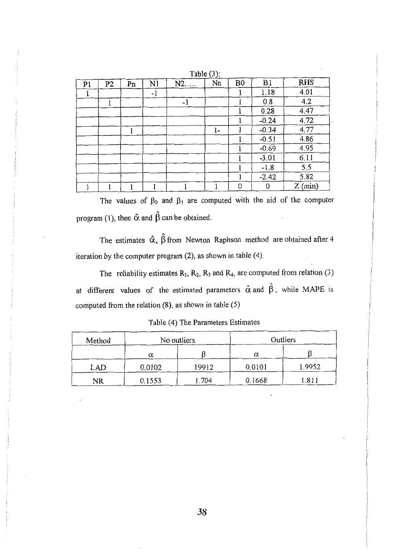|                |    |    |      |      | 14010 (2) |                |         |            |
|----------------|----|----|------|------|-----------|----------------|---------|------------|
| P <sub>1</sub> | P2 | Pn | N1   | $N2$ | Nn        | B <sub>0</sub> | B1      | <b>RHS</b> |
|                |    |    | $-1$ |      |           |                | 1.18    | 4.01       |
|                | 1  |    |      | -1   |           |                | 0.8     | 4.2        |
|                |    |    |      |      |           |                | 0.28    | 4.47       |
|                |    |    |      |      |           |                | $-0.24$ | 4.72       |
|                |    |    |      |      | l-        |                | $-0.34$ | 4.77       |
|                |    |    |      |      |           |                | $-0.51$ | 4.86       |
|                |    |    |      |      |           |                | $-0.69$ | 4.95       |
|                |    |    |      |      |           |                | $-3.01$ | 6.11       |
|                |    |    |      |      |           |                | $-1.8$  | 5.5        |
|                |    |    |      |      |           |                | $-2.42$ | 5.82       |
|                |    |    |      |      |           | 0              | 0       | $Z$ (min)  |

Table  $(3)$ 

The values of  $\beta_0$  and  $\beta_1$  are computed with the aid of the computer  $\beta$  program (1), then  $\hat{\alpha}$  and  $\hat{\beta}$  can be obtained.

The estimates  $\hat{\alpha}$ ,  $\hat{\beta}$  from Newton Raphson method are obtained after 4 iteration by the computer program  $(2)$ , as shown in table  $(4)$ .

The reliability estimates  $R_1$ ,  $R_2$ ,  $R_3$  and  $R_4$ , are computed from relation (3) at different values of the estimated parameters  $\hat{\alpha}$  and  $\hat{\beta}$ , while MAPE is computed from the relation **(8),** as shown in table *(5)* 

| Method | No outliers |       | Outliers |        |  |
|--------|-------------|-------|----------|--------|--|
|        | α           |       | α        |        |  |
| LAD    | 0.0102      | 19912 | 0.0101   | 1.9952 |  |
| NR     | 0.1553      | 1.704 | 0.1668   | .811   |  |

Table (4) The Parameters Estimates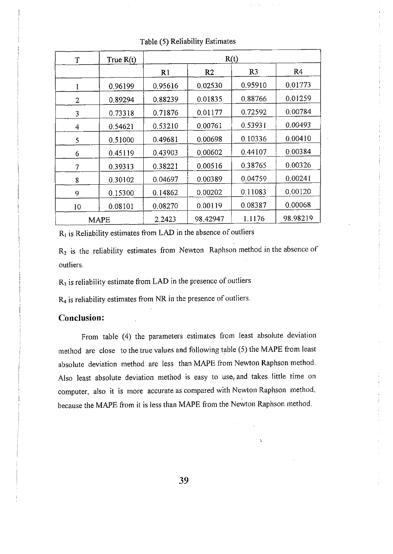| $\mathbf T$ | True $R(t)$ | R(t)           |                |                |                |  |
|-------------|-------------|----------------|----------------|----------------|----------------|--|
|             |             | R <sub>1</sub> | R <sub>2</sub> | R <sub>3</sub> | R <sub>4</sub> |  |
| 1           | 0.96199     | 0.95616        | 0.02530        | 0.95910        | 0.01773        |  |
| 2           | 0.89294     | 0,88239        | 0.01835        | 0.88766        | 0.01259        |  |
| 3           | 0.73318     | 0.71876        | 0.01177        | 0.72592        | 0.00784        |  |
| 4           | 0.54621     | 0.53210        | 0.00761        | 0.53931        | 0.00493        |  |
| 5           | 0.51000     | 0.49681        | 0.00698        | 0.10336        | 0.00410        |  |
| 6           | 0.45119     | 0.43903        | 0.00602        | 0.44107        | 0.00384        |  |
| 7           | 0.39313     | 0.38221        | 0.00516        | 0.38765        | 0.00326        |  |
| 8           | 0.30102     | 0.04697        | 0.00389        | 0.04759        | 0.00241        |  |
| 9           | 0.15300     | 0.14862        | 0.00202        | 0.11083        | 0.00120        |  |
| 10          | 0.08101     | 0.08270        | 0.00119        | 0.08387        | 0.00068        |  |
| MAPE        |             | 2.2423         | 98.42947       | 1.1176         | 98.98219       |  |

Table (5) Reliability Estimates

 $R<sub>1</sub>$  is Reliability estimates from LAD in the absence of outliers

outliers.  $R_2$  is the reliability estimates from Newton Raphson method in the absence of

 $R<sub>3</sub>$  is reliability estimate from LAD in the presence of outliers

 $R_4$  is reliability estimates from NR in the presence of outliers.

## **Conclusion:**

From table (4) the parameters estimates from least absolute deviation method are close to the true values and following table (5) the MAPE from least absolute deviation method are less than MAPE from Newton Raphson method. Also least absolute deviation method is easy to use<sub> $v$ </sub> and takes little time on computer, also it is more accurate as compared with Newton Raphson method, because the MAPE from it is less than MAPE from the Newton Raphson method.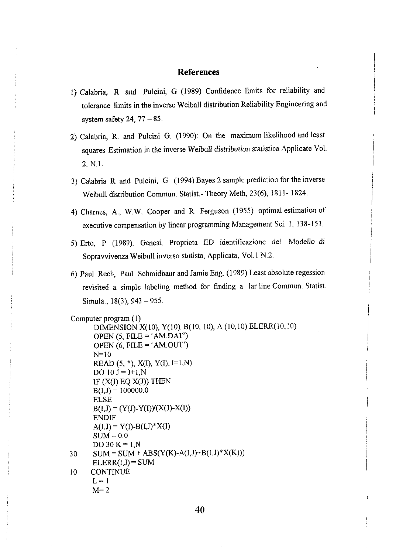### **References**

- 1) Calabria, R and Pulcini, G (1989) Confidence limits for reliability and tolerance limits in the inverse Weiball distribution Reliability Engineering and system safety 24,  $77 - 85$ .
- 2) Calabria, R. and Pulcini G. (1990): On the maximum likelihood and least squares Estimation in the inverse Weibull distribution statistica Applicate Vol. 2, N.1.
- 3) Calabria R and Pulcini, G (1994) Bayes 2 sample prediction for the inverse Weibull distribution Commun. Statist.- Theory Meth, 23(6), 18 11- 1824.
- 4) Charnes, A,, W.W. Cooper and R. Ferguson (1955) optimal estimation of executive compensation by linear programming Management Sci. 1, 138-151.
- 5) Erto, P (1989). Genesi, Proprieta ED identificazione del Modello di Sopravvivenza Weibull inverso stutista, Applicata, Vol. 1 N.2.
- 6) Paul Rech, Paul Schmidbaur and Jamie Eng. (1989) Least absolute regession revisited a simple labeling method for finding a lar line Commun. Statist. Simula., 18(3), 943 - 955.

```
Computer program (1) 
       DIMENSION X(10), Y(10). B(10, 10). A (10.10) ELERR(10.10) 
       OPEN (5, FILE = 'AM.DAT')OPEN (6, FILE = 'AM.OUT')N=10 
       READ (5, *), X(I), Y(I), I=1,NDO 10 J = J+1, NIF (X(I).EQ X(J)) THEN
      B(I,J) = 100000.0ELSE 
      B(I, J) = (Y(J)-Y(I))(X(J)-X(I))ENDIF
       A(I, J) = Y(I) - B(I, J)^* X(I)SUM = 0.0DO 30 K = 1, N
30 \text{SUM} = \text{SUM} + \text{ABS}(Y(K)-A(I,J)+B(I,J)^*X(K)))ELERR(I.J) = SUM10 CONTINUE 
      L = 1M=2
```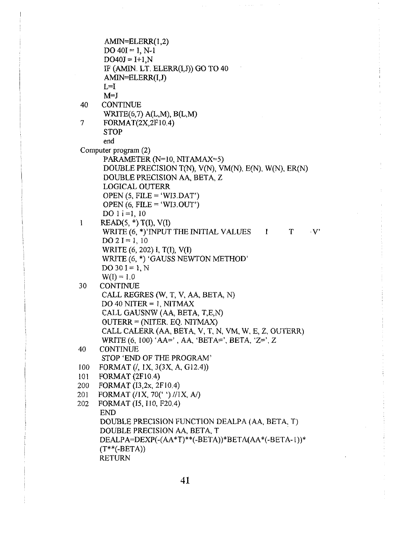```
AMIN=ELERR(1,2) 
      DO 40I = 1, N-1
      DO40J = I+1,NIF (Am. LT. ELERR(1,J)) GO TO 40 
      AMIN=ELERR(I,J)
      L=1M=J40 CONTINUE 
      WRITE(6,7) A(L,M), B(L,M)
7 FORMAT(2X,2F10.4) 
      STOP
      end 
Computer program (2) 
      PARAMETER (N=10, NITAMAX=5) 
      DOUBLE PRECISION T(N), V(N), VM(N), E(N), W(N), ER(N)DOUBLE PRECISION AA, BETA, Z
      LOGICAL OUTERR 
      OPEN (5, FILE = 'WU.DAT') 
      OPEN (6, FILE = 'WI3.OUT')
      DO 1 i = 1, 10READ(5, *) T(I), V(I)\mathbf{1}WRITE (6, *)' INPUT THE INITIAL VALUES I T V
      DO 2I = 1, 10WRITE (6, 202) I, T(I), V(1) 
      WRITE (6, *) 'GAUSS NEWTON METHOD' 
      DO30I = 1, NW(I) = 1.030
     CONTINUE 
      CALL REGRES (W, T, V, AA, BETA, N) 
      DO 40 NITER = 1, NITMAXCALL GAUSNW (AA, BETA, T,E,N) 
      OUTERR = (NITER. EQ. NITMAX) 
      CALL CALERR (AA, BETA, V, T, N, VM, W, E, 2. OUTERR) 
      WRITE (6, 100) 'AA=' , AA, 'BETA=', BETA, 'Z=', Z 
40
     CONTINUE 
      STOP 'END OF THE PROGRAM' 
100
     FORMAT (I, IX, 3(3X, A. G12.4)) 
     FORMAT (2F 10 4) 
101
     FORMAT (13.2~. 2F10.4) 
200
     FORMAT (/1X, 70(' ') //1X, A/)
201
202
     FORMAT (15, I1 0, F20.4) 
     END 
     DOUBLE PRECISION FUNCTION DEALPA (AA, BETA, T) 
     DOUBLE PRECISION AA, BETA, T 
      DEALPA=DEXP(-(AA*T)**(-BETA))*BETA(AA*(-BETA- I))* 
     (T^{**}(-BETA))RETURN
```
 $\bar{\beta}$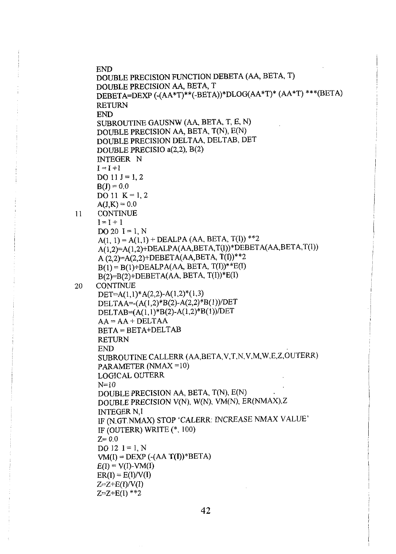```
END 
     DOUBLE PRECISION FUNCTION DEBETA (A4 BETA, T) 
     DOUBLE PRECISION A& BETA, T 
     DEBETA=DEXP (-(AA*T)**(-BETA))*DLOG(AA*T)* (AA*T) ***(BETA) 
     RETURN 
     END 
     SUBROUTINE GAUSNW (AA, BETA, T, E, N) 
     DOUBLE PRECISION AA, BETA, T(N), E(N)
     DOUBLE PRECISION DELTAA, DELTAB, DET 
     DOUBLE PRECIS10 a(2,2), B(2) 
     INTEGER N 
     I=I+1DO 11 J = 1, 2B(J) = 0.0DO 11 K = 1, 2A(J,K) = 0.0CONTINUE 
11I=I+1DO 20 I = 1, N
      A(1, 1) = A(1,1) + DEALPA (AA, BETA, T(I)) **2
     A(1,2)=A(1,2)+DEALPA(AA,BETA,T(I))*DEBETA(AA,BETA,T(I))
      A(2,2)=A(2,2)+DEBETA(AA,BETA, T(I))^{**2}B(1) = B(1) + DEALPA(AA, BETA, T(I))<sup>**</sup>E(I)B(2)=B(2)+DEBETA(AA, BETA, T(I))*E(I)CONTINUE
20
     ~~TzA(l,l)*A(2,2)-A(1,2)*(1,3) 
      DELTAA=-(A(I,2)*B(2)-A(2,Z)*B(l))/DET 
      DELTAB=(A(l,l)*B(2)-A(1,2)*B(l))/DET 
      AA = AA + DELTAABETA = BETA+DELTAB 
     RETURN 
     END 
     SUBROUTINE CALLERR (AA,BETA,V,T,N,V,M,W,E,Z,OUTERR) 
      PARAMETER (NMAX = 10)
      LOGICAL OUTERR 
      N=10DOUBLE PRECISION AA, BETA, T(N), E(N) 
      DOUBLE PRECISION V(N), W(N), VM(N), ER(NMAX),Z
      INTEGER N,I 
     IF (N.GT.NMAX) STOP 'CALERR: INCREASE NMAX VALUE' 
      IF (OUTERR) WRITE (*, 100) 
     Z = 0.0DO 12 I = 1, N
      VM(I) = DEXP (-(AA T(I))^*BETA)
     E(I) = V(I)-VM(I)ER(I) = E(I)/V(I)Z=Z+E(I)/V(I)Z=Z+E(1) **2
```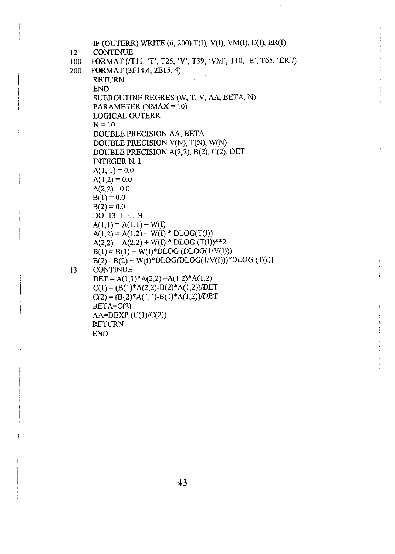```
IF (OUTERR) WRITE (6, 200) T(I), V(I), VM(I), E(I), ER(1) 
12 CONTINUE
100 FORMAT (/T11, 'T', T25, 'V', T39, 'VM', T10, 'E', T65, 'ER'/)
200 FORMAT (3F14.4, 2E15.4) 
      RETURN 
      END 
      SUBROUTINE REGRES (W, T, V, AA, BETA, N) 
      PARAMETER (NMAX = 10) 
      LOGICAL OUTERR 
      N = 10DOUBLE PRECISION AA, BETA 
      DOUBLE PRECISION V(N), T(N), W(N) 
      DOUBLE PRECISION A(2,2), B(2), C(2). DET 
      INTEGER N, 1 
      A(1, 1) = 0.0A(1,2) = 0.0A(2,2)=0.0B(1) = 0.0B(2) = 0.0DO 13 I=l, N 
      A(1,1) = A(1,1) + W(I)A(1,2) = A(1,2) + W(I) * DLOG(T(I))A(2,2) = A(2,2) + W(I) * DLOG (T(I)) **2B(1) = B(1) + W(1) * DLOG(DLOG(1/V(1)))B(2)= B(2) + W(I)*DLOG(DLOG(lN(I)))*DLOG (T(1)) 
13 CONTINUE 
      DET = A(1,1)*A(2,2) - A(1,2)*A(1,2)C(1) = (B(l)*A(2,2)-B(2)*A(1,2))/DET 
      C(2) = (B(2)*A(1,1)-B(1)*A(1,2))/DETBETA=C(2)AA=DEXP(C(1)/C(2))RETURN 
      END
```
 $\mu_{\rm{max}}$  and  $\mu_{\rm{max}}$